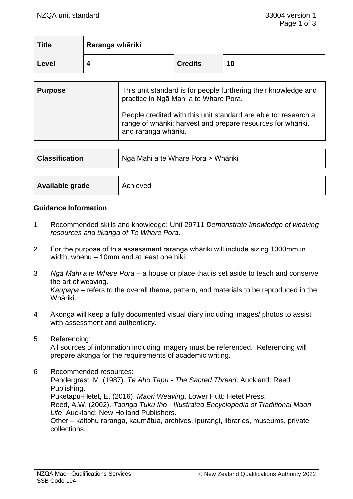| <b>Title</b> | Raranga whāriki |                |    |
|--------------|-----------------|----------------|----|
| Level        |                 | <b>Credits</b> | 10 |

| <b>Purpose</b> | This unit standard is for people furthering their knowledge and<br>practice in Ngā Mahi a te Whare Pora.                                                |
|----------------|---------------------------------------------------------------------------------------------------------------------------------------------------------|
|                | People credited with this unit standard are able to: research a<br>range of whāriki; harvest and prepare resources for whāriki,<br>and raranga whāriki. |

| Ngā Mahi a te Whare Pora > Whāriki<br><b>Classification</b> |          |
|-------------------------------------------------------------|----------|
|                                                             |          |
| Available grade                                             | Achieved |

#### **Guidance Information**

- 1 Recommended skills and knowledge: Unit 29711 *Demonstrate knowledge of weaving resources and tikanga of Te Whare Pora*.
- 2 For the purpose of this assessment raranga whāriki will include sizing 1000mm in width, whenu – 10mm and at least one hiki.
- 3 *Ngā Mahi a te Whare Pora*  a house or place that is set aside to teach and conserve the art of weaving. *Kaupapa* – refers to the overall theme, pattern, and materials to be reproduced in the Whāriki.
- 4 Ākonga will keep a fully documented visual diary including images/ photos to assist with assessment and authenticity.
- 5 Referencing:

All sources of information including imagery must be referenced. Referencing will prepare ākonga for the requirements of academic writing.

6 Recommended resources: Pendergrast, M. (1987). *Te Aho Tapu - The Sacred Thread*. Auckland: Reed Publishing. Puketapu-Hetet, E. (2016). *Maori Weaving*. Lower Hutt: Hetet Press. Reed, A.W. (2002). *Taonga Tuku Iho - Illustrated Encyclopedia of Traditional Maori Life*. Auckland: New Holland Publishers. Other – kaitohu raranga, kaumātua, archives, ipurangi, libraries, museums, private collections.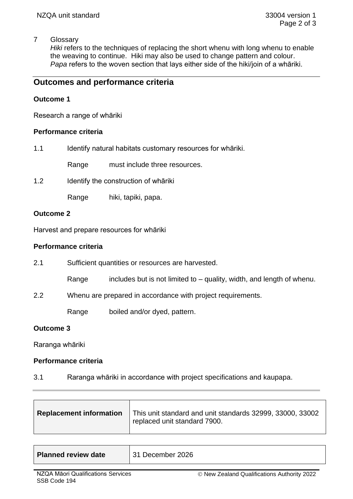# 7 Glossary

Hiki refers to the techniques of replacing the short whenu with long whenu to enable the weaving to continue. Hiki may also be used to change pattern and colour. *Papa* refers to the woven section that lays either side of the hiki/join of a whāriki.

# **Outcomes and performance criteria**

# **Outcome 1**

Research a range of whāriki

# **Performance criteria**

| 1.1 |  | Identify natural habitats customary resources for whariki. |  |
|-----|--|------------------------------------------------------------|--|
|     |  |                                                            |  |

Range must include three resources.

1.2 Identify the construction of whāriki

Range hiki, tapiki, papa.

# **Outcome 2**

Harvest and prepare resources for whāriki

## **Performance criteria**

- 2.1 Sufficient quantities or resources are harvested.
	- Range includes but is not limited to  $-$  quality, width, and length of whenu.
- 2.2 Whenu are prepared in accordance with project requirements.

Range boiled and/or dyed, pattern.

# **Outcome 3**

Raranga whāriki

#### **Performance criteria**

3.1 Raranga whāriki in accordance with project specifications and kaupapa.

| <b>Replacement information</b> | This unit standard and unit standards 32999, 33000, 33002<br>replaced unit standard 7900. |
|--------------------------------|-------------------------------------------------------------------------------------------|
|                                |                                                                                           |

| <b>Planned review date</b> | 31 December 2026 |
|----------------------------|------------------|
|----------------------------|------------------|